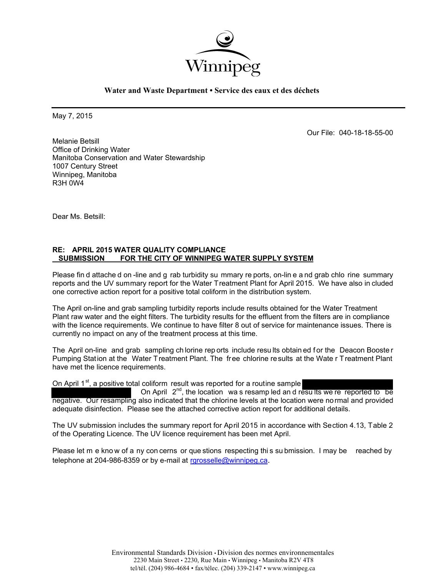

**Water and Waste Department • Service des eaux et des déchets**

May 7, 2015

Our File: 040-18-18-55-00

Melanie Betsill Office of Drinking Water Manitoba Conservation and Water Stewardship 1007 Century Street Winnipeg, Manitoba R3H 0W4

Dear Ms. Betsill:

### **RE: APRIL 2015 WATER QUALITY COMPLIANCE SUBMISSION FOR THE CITY OF WINNIPEG WATER SUPPLY SYSTEM**

Please fin d attache d on -line and g rab turbidity su mmary re ports, on-lin e a nd grab chlo rine summary reports and the UV summary report for the Water Treatment Plant for April 2015. We have also in cluded one corrective action report for a positive total coliform in the distribution system.

The April on-line and grab sampling turbidity reports include results obtained for the Water Treatment Plant raw water and the eight filters. The turbidity results for the effluent from the filters are in compliance with the licence requirements. We continue to have filter 8 out of service for maintenance issues. There is currently no impact on any of the treatment process at this time.

The April on-line and grab sampling ch lorine rep orts include results obtain ed for the Deacon Booster Pumping Station at the Water Treatment Plant. The free chlorine results at the Wate r Treatment Plant have met the licence requirements.

On April 1st, a positive total coliform result was reported for a routine sample

On April  $2^{nd}$ , the location was resamp led and results we re reported to be negative. Our resampling also indicated that the chlorine levels at the location were normal and provided adequate disinfection. Please see the attached corrective action report for additional details.

The UV submission includes the summary report for April 2015 in accordance with Section 4.13, Table 2 of the Operating Licence. The UV licence requirement has been met April.

Please let m e know of a ny con cerns or que stions respecting this su bmission. I may be reached by telephone at 204-986-8359 or by e-mail at rgrosselle@winnipeg.ca.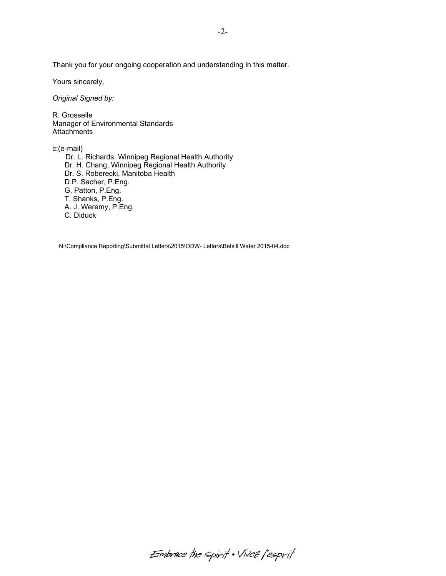Thank you for your ongoing cooperation and understanding in this matter.

Yours sincerely,

*Original Signed by:* 

R. Grosselle Manager of Environmental Standards **Attachments** 

c:(e-mail)

 Dr. L. Richards, Winnipeg Regional Health Authority Dr. H. Chang, Winnipeg Regional Health Authority Dr. S. Roberecki, Manitoba Health D.P. Sacher, P.Eng. G. Patton, P.Eng. T. Shanks, P.Eng. A. J. Weremy, P.Eng. C. Diduck

N:\Compliance Reporting\Submittal Letters\2015\ODW- Letters\Betsill Water 2015-04.doc

Embrace the spirit . Vivez l'esprit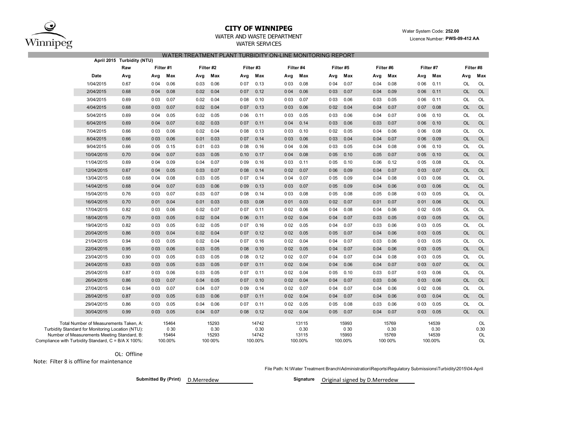

#### **CITY OF WINNIPEG**

WATER AND WASTE DEPARTMENT

WATER SERVICES WATER TREATMENT RLANT TURBINITY ON LINE MONITORING REPORT

 Water System Code: **252.00** Licence Number: **PWS-09-412 AA**

|                                                                                             | April 2015 Turbidity (NTU) |           |               |      |               | <u>VATER TREATMENT LEANT TORDIDITT ON-EINE MONTORINO REL ORT</u> |               |       |               |           |               |      |               |       |               |           |            |
|---------------------------------------------------------------------------------------------|----------------------------|-----------|---------------|------|---------------|------------------------------------------------------------------|---------------|-------|---------------|-----------|---------------|------|---------------|-------|---------------|-----------|------------|
|                                                                                             | Raw                        | Filter #1 |               |      | Filter #2     | Filter#3                                                         |               |       | Filter #4     | Filter #5 |               |      | Filter #6     |       | Filter #7     |           | Filter #8  |
| Date                                                                                        | Avg                        | Avg       | Max           | Avg  | Max           | Avg                                                              | Max           | Avg   | Max           | Avg       | Max           | Avg  | Max           | Avg   | Max           | Avg       | Max        |
| 1/04/2015                                                                                   | 0.67                       | 0 0 4     | 0.06          | 0.03 | 0.06          | 007                                                              | 0.13          | 003   | 0.08          | 004       | 0.07          | 0.04 | 0.08          | 006   | 0.11          | <b>OL</b> | OL         |
| 2/04/2015                                                                                   | 0.68                       | 004       | 0.08          | 0.02 | 0.04          | 007                                                              | 0.12          | 004   | 0.06          | 003       | 0.07          | 0.04 | 0.09          | 006   | 0.11          | <b>OL</b> | <b>OL</b>  |
| 3/04/2015                                                                                   | 0.69                       | 003       | 0.07          | 0.02 | 0.04          | 008                                                              | 0.10          | 003   | 0.07          | 0 0 3     | 0.06          | 0.03 | 0.05          | 006   | 0.11          | <b>OL</b> | OL         |
| 4/04/2015                                                                                   | 0.68                       | 003       | 0.07          | 0.02 | 0.04          | 007                                                              | 0.13          | 003   | 0.06          | 002       | 0.04          | 0.04 | 0.07          | 007   | 0.08          | <b>OL</b> | <b>OL</b>  |
| 5/04/2015                                                                                   | 0.69                       | 004       | 0.05          | 0.02 | 0.05          | 006                                                              | 0.11          | 003   | 0.05          | 003       | 0.06          | 0.04 | 0.07          | 006   | 0.10          | <b>OL</b> | OL         |
| 6/04/2015                                                                                   | 0.69                       | 004       | 0.07          | 0.02 | 0.03          | 007                                                              | 0.11          | 004   | 0.14          | 003       | 0.06          | 0.03 | 0.07          | 006   | 0.10          | <b>OL</b> | OL         |
| 7/04/2015                                                                                   | 0.66                       | 003       | 0.06          | 0.02 | 0.04          | 008                                                              | 0.13          | 003   | 0.10          | 002       | 0.05          | 0.04 | 0.06          | 006   | 0.08          | <b>OL</b> | OL         |
| 8/04/2015                                                                                   | 0.66                       | 003       | 0.06          | 0.01 | 0.03          | 007                                                              | 0.14          | 003   | 0.06          | 003       | 0.04          | 0.04 | 0.07          | 006   | 0.09          | <b>OL</b> | OL         |
| 9/04/2015                                                                                   | 0.66                       | 005       | 0.15          | 0.01 | 0.03          | 008                                                              | 0.16          | 0 0 4 | 0.06          | 003       | 0.05          | 0.04 | 0.08          | 006   | 0.10          | OL        | OL         |
| 10/04/2015                                                                                  | 0.70                       | 0 0 4     | 0.07          | 0.03 | 0.05          | 0.10                                                             | 0.17          | 004   | 0.08          | 005       | 0.10          | 0.05 | 0.07          | 005   | 0.10          | <b>OL</b> | OL         |
| 11/04/2015                                                                                  | 0.69                       | 0 0 4     | 0.09          | 0.04 | 0.07          | 009                                                              | 0.16          | 003   | 0.11          | 005       | 0.10          | 0.06 | 0.12          | 005   | 0.08          | OL        | OL         |
| 12/04/2015                                                                                  | 0.67                       | 004       | 0.05          | 0.03 | 0.07          | 008                                                              | 0.14          | 002   | 0.07          | 006       | 0.09          | 0.04 | 0.07          | 003   | 0.07          | <b>OL</b> | OL         |
| 13/04/2015                                                                                  | 0.68                       | 004       | 0.08          | 0.03 | 0.05          | 007                                                              | 0.14          | 004   | 0.07          | 005       | 0.09          | 0.04 | 0.08          | 003   | 0.06          | <b>OL</b> | OL         |
| 14/04/2015                                                                                  | 0.68                       | 0 0 4     | 0.07          | 0.03 | 0.06          | 009                                                              | 0.13          | 003   | 0.07          | 005       | 0.09          | 0.04 | 0.06          | 003   | 0.06          | <b>OL</b> | <b>OL</b>  |
| 15/04/2015                                                                                  | 0.76                       | 003       | 0.07          | 0.03 | 0.07          | 008                                                              | 0.14          | 003   | 0.08          | 005       | 0.08          | 0.05 | 0.08          | 003   | 0.05          | <b>OL</b> | OL         |
| 16/04/2015                                                                                  | 0.70                       | 001       | 0.04          | 0.01 | 0.03          | 0 0 3                                                            | 0.08          | 001   | 0.03          | 002       | 0.07          | 0.01 | 0.07          | 001   | 0.06          | <b>OL</b> | <b>OL</b>  |
| 17/04/2015                                                                                  | 0.82                       | 003       | 0.06          | 0.02 | 0.07          | 007                                                              | 0.11          | 002   | 0.06          | 0 0 4     | 0.08          | 0.04 | 0.06          | 002   | 0.05          | OL        | OL         |
| 18/04/2015                                                                                  | 0.79                       | 003       | 0.05          | 0.02 | 0.04          | 006                                                              | 0.11          | 002   | 0.04          | 004       | 0.07          | 0.03 | 0.05          | 003   | 0.05          | OL        | OL         |
| 19/04/2015                                                                                  | 0.82                       | 003       | 0.05          | 0.02 | 0.05          | 007                                                              | 0.16          | 002   | 0.05          | 0 0 4     | 0.07          | 0.03 | 0.06          | 003   | 0.05          | OL        | OL         |
| 20/04/2015                                                                                  | 0.86                       | 003       | 0.04          | 0.02 | 0.04          | 007                                                              | 0.12          | 002   | 0.05          | 005       | 0.07          | 0.04 | 0.06          | 003   | 0.05          | <b>OL</b> | OL         |
| 21/04/2015                                                                                  | 0.94                       | 003       | 0.05          | 0.02 | 0.04          | 007                                                              | 0.16          | 002   | 0.04          | 0 0 4     | 0.07          | 0.03 | 0.06          | 003   | 0.05          | OL        | OL         |
| 22/04/2015                                                                                  | 0.95                       | 003       | 0.06          | 0.03 | 0.05          | 008                                                              | 0.10          | 002   | 0.05          | 0 0 4     | 0.07          | 0.04 | 0.06          | 003   | 0.05          | <b>OL</b> | OL         |
| 23/04/2015                                                                                  | 0.90                       | 003       | 0.05          | 0.03 | 0.05          | 008                                                              | 0.12          | 002   | 0.07          | 0 0 4     | 0.07          | 0.04 | 0.08          | 0 0 3 | 0.05          | OL        | OL         |
| 24/04/2015                                                                                  | 0.83                       | 003       | 0.05          | 0.03 | 0.05          | 007                                                              | 0.11          | 002   | 0.04          | 0 0 4     | 0.06          | 0.04 | 0.07          | 003   | 0.07          | <b>OL</b> | OL         |
| 25/04/2015                                                                                  | 0.87                       | 003       | 0.06          | 0.03 | 0.05          | 007                                                              | 0.11          | 002   | 0.04          | 005       | 0.10          | 0.03 | 0.07          | 0 0 3 | 0.06          | <b>OL</b> | OL         |
| 26/04/2015                                                                                  | 0.86                       | 0 0 3     | 0.07          | 0.04 | 0.05          | 007                                                              | 0.10          | 002   | 0.04          | 0 0 4     | 0.07          | 0.03 | 0.06          | 003   | 0.06          | <b>OL</b> | OL         |
| 27/04/2015                                                                                  | 0.94                       | 003       | 0.07          | 0.04 | 0.07          | 009                                                              | 0.14          | 002   | 0.07          | 0 0 4     | 0.07          | 0.04 | 0.06          | 002   | 0.06          | OL        | OL         |
| 28/04/2015                                                                                  | 0.87                       | 003       | 0.05          | 0.03 | 0.06          | 007                                                              | 0.11          | 002   | 0.04          | 0 0 4     | 0.07          | 0.04 | 0.06          | 003   | 0.04          | <b>OL</b> | OL         |
| 29/04/2015                                                                                  | 0.86                       | 003       | 0.05          | 0.04 | 0.06          | 007                                                              | 0.11          | 002   | 0.05          | 005       | 0.08          | 0.03 | 0.06          | 003   | 0.05          | OL        | OL         |
| 30/04/2015                                                                                  | 0.99                       | 003       | 0.05          | 0.04 | 0.07          | 008                                                              | 0.12          | 002   | 0.04          | 005       | 0.07          | 0.04 | 0.07          | 003   | 0.05          | <b>OL</b> | OL         |
|                                                                                             |                            |           |               |      |               |                                                                  |               |       |               |           |               |      |               |       |               |           |            |
| Total Number of Measurements Taken, A:<br>Turbidity Standard for Monitoring Location (NTU): |                            |           | 15464<br>0 30 |      | 15293<br>0.30 |                                                                  | 14742<br>0.30 |       | 13115<br>0.30 |           | 15993<br>0 30 |      | 15769<br>0.30 |       | 14539<br>0.30 |           | OL<br>0.30 |
| Number of Measurements Meeting Standard, B:                                                 |                            |           | 15464         |      | 15293         |                                                                  | 14742         |       | 13115         |           | 15993         |      | 15769         |       | 14539         |           | OL         |
| Compliance with Turbidity Standard, C = B/A X 100%:                                         |                            |           | 100.00%       |      | 100 00%       |                                                                  | 100.00%       |       | 100.00%       |           | 100.00%       |      | 100 00%       |       | 100.00%       |           | <b>OL</b>  |

OL: Offline

Note: Filter 8 is offline for maintenance

File Path: N:\Water Treatment Branch\Administration\Reports\Regulatory Submissions\Turbidity\2015\04-April

**Submitted By (Print) Signature** D.Merredew

Signature **Original signed by D.Merredew**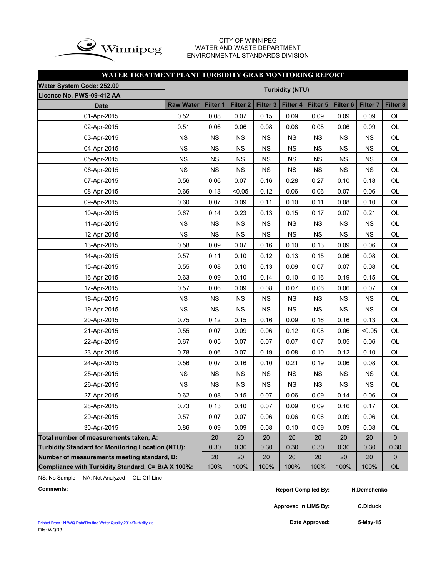

#### CITY OF WINNIPEG WATER AND WASTE DEPARTMENT ENVIRONMENTAL STANDARDS DIVISION

### **WATER TREATMENT PLANT TURBIDITY GRAB MONITORING REPORT**

| Water System Code: 252.00                          |                        |           |                     |                 |           |           |                     |                     |             |  |  |  |  |  |  |
|----------------------------------------------------|------------------------|-----------|---------------------|-----------------|-----------|-----------|---------------------|---------------------|-------------|--|--|--|--|--|--|
| Licence No. PWS-09-412 AA                          | <b>Turbidity (NTU)</b> |           |                     |                 |           |           |                     |                     |             |  |  |  |  |  |  |
| <b>Date</b>                                        | <b>Raw Water</b>       | Filter 1  | Filter <sub>2</sub> | <b>Filter 3</b> | Filter 4  | Filter 5  | Filter <sub>6</sub> | Filter <sub>7</sub> | Filter 8    |  |  |  |  |  |  |
| 01-Apr-2015                                        | 0.52                   | 0.08      | 0.07                | 0.15            | 0.09      | 0.09      | 0.09                | 0.09                | <b>OL</b>   |  |  |  |  |  |  |
| 02-Apr-2015                                        | 0.51                   | 0.06      | 0.06                | 0.08            | 0.08      | 0.08      | 0.06                | 0.09                | OL          |  |  |  |  |  |  |
| 03-Apr-2015                                        | <b>NS</b>              | NS        | <b>NS</b>           | <b>NS</b>       | <b>NS</b> | <b>NS</b> | <b>NS</b>           | <b>NS</b>           | OL          |  |  |  |  |  |  |
| 04-Apr-2015                                        | NS                     | <b>NS</b> | <b>NS</b>           | <b>NS</b>       | <b>NS</b> | <b>NS</b> | <b>NS</b>           | <b>NS</b>           | OL          |  |  |  |  |  |  |
| 05-Apr-2015                                        | <b>NS</b>              | <b>NS</b> | <b>NS</b>           | <b>NS</b>       | NS        | <b>NS</b> | <b>NS</b>           | <b>NS</b>           | OL          |  |  |  |  |  |  |
| 06-Apr-2015                                        | <b>NS</b>              | NS        | <b>NS</b>           | <b>NS</b>       | NS        | <b>NS</b> | NS                  | NS                  | OL          |  |  |  |  |  |  |
| 07-Apr-2015                                        | 0.56                   | 0.06      | 0.07                | 0.16            | 0.28      | 0.27      | 0.10                | 0.18                | OL          |  |  |  |  |  |  |
| 08-Apr-2015                                        | 0.66                   | 0.13      | < 0.05              | 0.12            | 0.06      | 0.06      | 0.07                | 0.06                | OL          |  |  |  |  |  |  |
| 09-Apr-2015                                        | 0.60                   | 0.07      | 0.09                | 0.11            | 0.10      | 0.11      | 0.08                | 0.10                | OL          |  |  |  |  |  |  |
| 10-Apr-2015                                        | 0.67                   | 0.14      | 0.23                | 0.13            | 0.15      | 0.17      | 0.07                | 0.21                | OL          |  |  |  |  |  |  |
| 11-Apr-2015                                        | <b>NS</b>              | NS        | <b>NS</b>           | <b>NS</b>       | <b>NS</b> | <b>NS</b> | <b>NS</b>           | <b>NS</b>           | OL          |  |  |  |  |  |  |
| 12-Apr-2015                                        | <b>NS</b>              | NS        | <b>NS</b>           | <b>NS</b>       | <b>NS</b> | <b>NS</b> | <b>NS</b>           | <b>NS</b>           | OL          |  |  |  |  |  |  |
| 13-Apr-2015                                        | 0.58                   | 0.09      | 0.07                | 0.16            | 0.10      | 0.13      | 0.09                | 0.06                | OL          |  |  |  |  |  |  |
| 14-Apr-2015                                        | 0.57                   | 0.11      | 0.10                | 0.12            | 0.13      | 0.15      | 0.06                | 0.08                | OL          |  |  |  |  |  |  |
| 15-Apr-2015                                        | 0.55                   | 0.08      | 0.10                | 0.13            | 0.09      | 0.07      | 0.07                | 0.08                | OL          |  |  |  |  |  |  |
| 16-Apr-2015                                        | 0.63                   | 0.09      | 0.10                | 0.14            | 0.10      | 0.16      | 0.19                | 0.15                | OL          |  |  |  |  |  |  |
| 17-Apr-2015                                        | 0.57                   | 0.06      | 0.09                | 0.08            | 0.07      | 0.06      | 0.06                | 0.07                | OL          |  |  |  |  |  |  |
| 18-Apr-2015                                        | <b>NS</b>              | NS        | <b>NS</b>           | <b>NS</b>       | NS        | <b>NS</b> | <b>NS</b>           | <b>NS</b>           | OL          |  |  |  |  |  |  |
| 19-Apr-2015                                        | <b>NS</b>              | NS        | <b>NS</b>           | <b>NS</b>       | NS        | <b>NS</b> | NS                  | NS                  | OL          |  |  |  |  |  |  |
| 20-Apr-2015                                        | 0.75                   | 0.12      | 0.15                | 0.16            | 0.09      | 0.16      | 0.16                | 0.13                | OL          |  |  |  |  |  |  |
| 21-Apr-2015                                        | 0.55                   | 0.07      | 0.09                | 0.06            | 0.12      | 0.08      | 0.06                | < 0.05              | OL          |  |  |  |  |  |  |
| 22-Apr-2015                                        | 0.67                   | 0.05      | 0.07                | 0.07            | 0.07      | 0.07      | 0.05                | 0.06                | OL          |  |  |  |  |  |  |
| 23-Apr-2015                                        | 0.78                   | 0.06      | 0.07                | 0.19            | 0.08      | 0.10      | 0.12                | 0.10                | OL          |  |  |  |  |  |  |
| 24-Apr-2015                                        | 0.56                   | 0.07      | 0.16                | 0.10            | 0.21      | 0.19      | 0.06                | 0.08                | OL          |  |  |  |  |  |  |
| 25-Apr-2015                                        | <b>NS</b>              | <b>NS</b> | <b>NS</b>           | <b>NS</b>       | NS        | <b>NS</b> | <b>NS</b>           | <b>NS</b>           | OL          |  |  |  |  |  |  |
| 26-Apr-2015                                        | <b>NS</b>              | <b>NS</b> | <b>NS</b>           | <b>NS</b>       | <b>NS</b> | <b>NS</b> | <b>NS</b>           | <b>NS</b>           | OL          |  |  |  |  |  |  |
| 27-Apr-2015                                        | 0.62                   | 0.08      | 0.15                | 0.07            | 0.06      | 0.09      | 0.14                | 0.06                | OL          |  |  |  |  |  |  |
| 28-Apr-2015                                        | 0.73                   | 0.13      | 0.10                | 0.07            | 0.09      | 0.09      | 0.16                | 0.17                | OL          |  |  |  |  |  |  |
| 29-Apr-2015                                        | 0.57                   | 0.07      | 0.07                | 0.06            | 0.06      | 0.06      | 0.09                | 0.06                | OL          |  |  |  |  |  |  |
| 30-Apr-2015                                        | 0.86                   | 0.09      | 0.09                | 0.08            | 0.10      | 0.09      | 0.09                | 0.08                | OL          |  |  |  |  |  |  |
| Total number of measurements taken, A:             |                        | 20        | 20                  | 20              | 20        | 20        | 20                  | 20                  | 0           |  |  |  |  |  |  |
| Turbidity Standard for Monitoring Location (NTU):  |                        | 0.30      | 0.30                | 0.30            | 0.30      | 0.30      | 0.30                | 0.30                | 0.30        |  |  |  |  |  |  |
| Number of measurements meeting standard, B:        |                        | 20        | 20                  | 20              | 20        | 20        | 20                  | 20                  | $\mathbf 0$ |  |  |  |  |  |  |
| Compliance with Turbidity Standard, C= B/A X 100%: |                        | 100%      | 100%                | 100%            | 100%      | 100%      | 100%                | 100%                | $OL$        |  |  |  |  |  |  |

NS: No Sample NA: Not Analyzed OL: Off-Line

**Comments: Report Compiled By: H.Demchenko**

**Approved in LIMS By: C.Diduck**

**5-May-15**

Printed From : N:\WQ Data\Routine Water Quality\2014\Turbidity.xls File: WQR3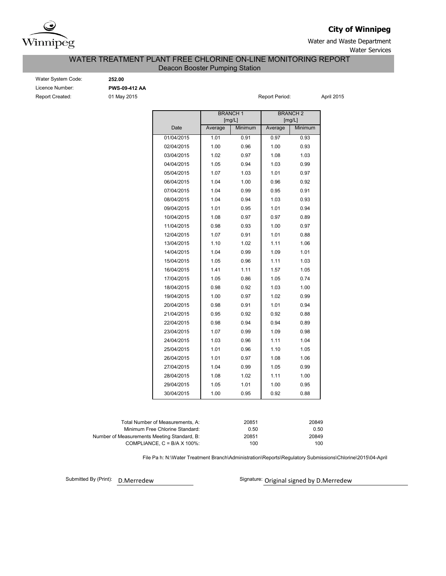

### **City of Winnipeg**

Water and Waste Department Water Services

#### Deacon Booster Pumping Station WATER TREATMENT PLANT FREE CHLORINE ON-LINE MONITORING REPORT

| <b>Water System Code</b> |
|--------------------------|
| Licence Number:          |
| Report Created:          |

Water System Code: **252.00** Licence Number: **PWS-09-412 AA**

01 May 2015 **Report Period:** April 2015

|            |         | <b>BRANCH1</b><br>[mg/L] | <b>BRANCH2</b><br>[mg/L] |         |  |  |  |  |
|------------|---------|--------------------------|--------------------------|---------|--|--|--|--|
| Date       | Average | Minimum                  | Average                  | Minimum |  |  |  |  |
| 01/04/2015 | 1.01    | 0.91                     | 0.97                     | 0.93    |  |  |  |  |
| 02/04/2015 | 1.00    | 0.96                     | 1.00                     | 0.93    |  |  |  |  |
| 03/04/2015 | 1.02    | 0.97                     | 1.08                     | 1.03    |  |  |  |  |
| 04/04/2015 | 1.05    | 0.94                     | 1.03                     | 0.99    |  |  |  |  |
| 05/04/2015 | 1.07    | 1.03                     | 1.01                     | 0.97    |  |  |  |  |
| 06/04/2015 | 1.04    | 1.00                     | 0.96                     | 0.92    |  |  |  |  |
| 07/04/2015 | 1.04    | 0.99                     | 0.95                     | 0.91    |  |  |  |  |
| 08/04/2015 | 1.04    | 0.94                     | 1.03                     | 0.93    |  |  |  |  |
| 09/04/2015 | 1.01    | 0.95                     | 1.01                     | 0.94    |  |  |  |  |
| 10/04/2015 | 1.08    | 0.97                     | 0.97                     | 0.89    |  |  |  |  |
| 11/04/2015 | 0.98    | 0.93                     | 1.00                     | 0.97    |  |  |  |  |
| 12/04/2015 | 1.07    | 0.91                     | 1.01                     | 0.88    |  |  |  |  |
| 13/04/2015 | 1.10    | 1.02                     | 1.11                     | 1.06    |  |  |  |  |
| 14/04/2015 | 1.04    | 0.99                     | 1.09                     | 1.01    |  |  |  |  |
| 15/04/2015 | 1.05    | 0.96                     | 1.11                     | 1.03    |  |  |  |  |
| 16/04/2015 | 1.41    | 1.11                     | 1.57                     | 1.05    |  |  |  |  |
| 17/04/2015 | 1.05    | 0.86                     | 1.05                     | 0.74    |  |  |  |  |
| 18/04/2015 | 0.98    | 0.92                     | 1.03                     | 1.00    |  |  |  |  |
| 19/04/2015 | 1.00    | 0.97                     | 1.02                     | 0.99    |  |  |  |  |
| 20/04/2015 | 0.98    | 0.91                     | 1.01                     | 0.94    |  |  |  |  |
| 21/04/2015 | 0.95    | 0.92                     | 0.92                     | 0.88    |  |  |  |  |
| 22/04/2015 | 0.98    | 0.94                     | 0.94                     | 0.89    |  |  |  |  |
| 23/04/2015 | 1.07    | 0.99                     | 1.09                     | 0.98    |  |  |  |  |
| 24/04/2015 | 1.03    | 0.96                     | 1.11                     | 1.04    |  |  |  |  |
| 25/04/2015 | 1.01    | 0.96                     | 1.10                     | 1.05    |  |  |  |  |
| 26/04/2015 | 1.01    | 0.97                     | 1.08                     | 1.06    |  |  |  |  |
| 27/04/2015 | 1.04    | 0.99                     | 1.05                     | 0.99    |  |  |  |  |
| 28/04/2015 | 1.08    | 1.02                     | 1.11                     | 1.00    |  |  |  |  |
| 29/04/2015 | 1.05    | 1.01                     | 1.00                     | 0.95    |  |  |  |  |
| 30/04/2015 | 1.00    | 0.95                     | 0.92                     | 0.88    |  |  |  |  |

| Total Number of Measurements. A:            | 20851 | 20849 |
|---------------------------------------------|-------|-------|
| Minimum Free Chlorine Standard:             | 0.50  | 0.50  |
| Number of Measurements Meeting Standard, B: | 20851 | 20849 |
| COMPLIANCE, $C = B/A \times 100\%$          | 100   | 100   |

File Pa h: N:\Water Treatment Branch\Administration\Reports\Regulatory Submissions\Chlorine\2015\04-April

Submitted By (Print): D.Merredew

Signature: Original signed by D.Merredew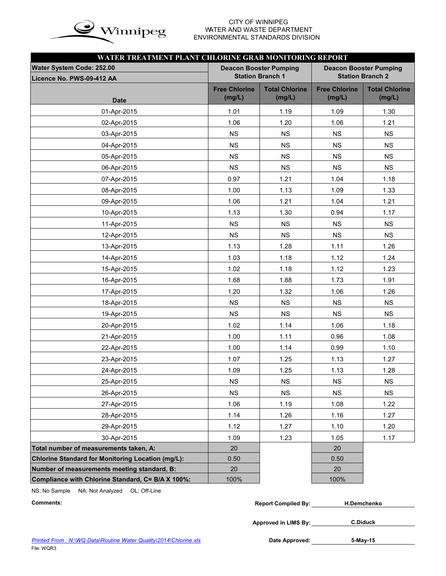

# WATER AND WASTE DEPARTMENT ENVIRONMENTAL STANDARDS DIVISION

| WATER TREATMENT PLANT CHLORINE GRAB MONITORING REPORT |                                |                                 |                                |                                 |  |  |  |  |  |  |  |  |
|-------------------------------------------------------|--------------------------------|---------------------------------|--------------------------------|---------------------------------|--|--|--|--|--|--|--|--|
| Water System Code: 252.00                             |                                | <b>Deacon Booster Pumping</b>   | <b>Deacon Booster Pumping</b>  |                                 |  |  |  |  |  |  |  |  |
| Licence No. PWS-09-412 AA                             | <b>Station Branch 1</b>        |                                 |                                | <b>Station Branch 2</b>         |  |  |  |  |  |  |  |  |
| <b>Date</b>                                           | <b>Free Chlorine</b><br>(mg/L) | <b>Total Chlorine</b><br>(mg/L) | <b>Free Chlorine</b><br>(mg/L) | <b>Total Chlorine</b><br>(mg/L) |  |  |  |  |  |  |  |  |
| 01-Apr-2015                                           | 1.01                           | 1.19                            | 1.09                           | 1.30                            |  |  |  |  |  |  |  |  |
| 02-Apr-2015                                           | 1.06                           | 1.20                            | 1.06                           | 1.21                            |  |  |  |  |  |  |  |  |
| 03-Apr-2015                                           | <b>NS</b>                      | <b>NS</b>                       | <b>NS</b>                      | <b>NS</b>                       |  |  |  |  |  |  |  |  |
| 04-Apr-2015                                           | <b>NS</b>                      | <b>NS</b>                       | <b>NS</b>                      | <b>NS</b>                       |  |  |  |  |  |  |  |  |
| 05-Apr-2015                                           | <b>NS</b>                      | <b>NS</b>                       | <b>NS</b>                      | <b>NS</b>                       |  |  |  |  |  |  |  |  |
| 06-Apr-2015                                           | <b>NS</b>                      | <b>NS</b>                       | <b>NS</b>                      | <b>NS</b>                       |  |  |  |  |  |  |  |  |
| 07-Apr-2015                                           | 0.97                           | 1.21                            | 1.04                           | 1.18                            |  |  |  |  |  |  |  |  |
| 08-Apr-2015                                           | 1.00                           | 1.13                            | 1.09                           | 1.33                            |  |  |  |  |  |  |  |  |
| 09-Apr-2015                                           | 1.06                           | 1.21                            | 1.04                           | 1.21                            |  |  |  |  |  |  |  |  |
| 10-Apr-2015                                           | 1.13                           | 1.30                            | 0.94                           | 1.17                            |  |  |  |  |  |  |  |  |
| 11-Apr-2015                                           | <b>NS</b>                      | <b>NS</b>                       | <b>NS</b>                      | <b>NS</b>                       |  |  |  |  |  |  |  |  |
| 12-Apr-2015                                           | <b>NS</b>                      | <b>NS</b>                       | <b>NS</b>                      | <b>NS</b>                       |  |  |  |  |  |  |  |  |
| 13-Apr-2015                                           | 1.13                           | 1.28                            | 1.11                           | 1.26                            |  |  |  |  |  |  |  |  |
| 14-Apr-2015                                           | 1.03                           | 1.18                            | 1.12                           | 1.24                            |  |  |  |  |  |  |  |  |
| 15-Apr-2015                                           | 1.02                           | 1.18                            | 1.12                           | 1.23                            |  |  |  |  |  |  |  |  |
| 16-Apr-2015                                           | 1.68                           | 1.88                            | 1.73                           | 1.91                            |  |  |  |  |  |  |  |  |
| 17-Apr-2015                                           | 1.20                           | 1.32                            | 1.06                           | 1.26                            |  |  |  |  |  |  |  |  |
| 18-Apr-2015                                           | <b>NS</b>                      | <b>NS</b>                       | <b>NS</b>                      | <b>NS</b>                       |  |  |  |  |  |  |  |  |
| 19-Apr-2015                                           | <b>NS</b>                      | <b>NS</b>                       | <b>NS</b>                      | <b>NS</b>                       |  |  |  |  |  |  |  |  |
| 20-Apr-2015                                           | 1.02                           | 1.14                            | 1.06                           | 1.18                            |  |  |  |  |  |  |  |  |
| 21-Apr-2015                                           | 1.00                           | 1.11                            | 0.96                           | 1.08                            |  |  |  |  |  |  |  |  |
| 22-Apr-2015                                           | 1.00                           | 1.14                            | 0.99                           | 1.10                            |  |  |  |  |  |  |  |  |
| 23-Apr-2015                                           | 1.07                           | 1.25                            | 1.13                           | 1.27                            |  |  |  |  |  |  |  |  |
| 24-Apr-2015                                           | 1.09                           | 1.25                            | 1.13                           | 1.28                            |  |  |  |  |  |  |  |  |
| 25-Apr-2015                                           | <b>NS</b>                      | <b>NS</b>                       | <b>NS</b>                      | <b>NS</b>                       |  |  |  |  |  |  |  |  |
| 26-Apr-2015                                           | <b>NS</b>                      | <b>NS</b>                       | <b>NS</b>                      | <b>NS</b>                       |  |  |  |  |  |  |  |  |
| 27-Apr-2015                                           | 1.06                           | 1.19                            | 1.08                           | 1.22                            |  |  |  |  |  |  |  |  |
| 28-Apr-2015                                           | 1.14                           | 1.26                            | 1.16                           | 1.27                            |  |  |  |  |  |  |  |  |
| 29-Apr-2015                                           | 1.12                           | 1.27                            | 1.10                           | 1.20                            |  |  |  |  |  |  |  |  |
| 30-Apr-2015                                           | 1.09                           | 1.23                            | 1.05                           | 1.17                            |  |  |  |  |  |  |  |  |
| Total number of measurements taken, A:                | 20                             |                                 | 20                             |                                 |  |  |  |  |  |  |  |  |
| Chlorine Standard for Monitoring Location (mg/L):     | 0.50                           |                                 | 0.50                           |                                 |  |  |  |  |  |  |  |  |
| Number of measurements meeting standard, B:           | 20                             |                                 | 20                             |                                 |  |  |  |  |  |  |  |  |
| Compliance with Chlorine Standard, C= B/A X 100%:     | 100%                           |                                 | 100%                           |                                 |  |  |  |  |  |  |  |  |

NS: No Sample NA: Not Analyzed OL: Off-Line

| Comments: | <b>Report Compiled By:</b> | H.Demchenko |
|-----------|----------------------------|-------------|
|           |                            |             |

**Approved in LIMS By: C.Diduck**

**5-May-15**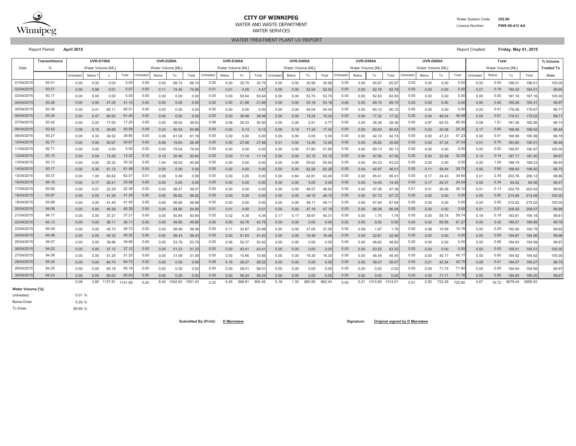

## **CITY OF WINNIPEG**

WATER AND WASTE DEPARTMENTWATER SERVICES

WATER TREATMENT PLANT UV REPORT

Report Period: **April 2015** Report Created: **Friday, May 01, 2015**

|                   | Transmittance |           | <b>UVR-D100A</b> |         |         |           | <b>UVR-D200A</b> |         |         |           | <b>UVR-D300A</b>  |        |                |                   | <b>UVR-D400A</b>  |        |               |           | <b>UVR-D500A</b>  |         |         |           | <b>UVR-D600A</b>  |        |        |           | Total             |         |         | % Volume          |
|-------------------|---------------|-----------|------------------|---------|---------|-----------|------------------|---------|---------|-----------|-------------------|--------|----------------|-------------------|-------------------|--------|---------------|-----------|-------------------|---------|---------|-----------|-------------------|--------|--------|-----------|-------------------|---------|---------|-------------------|
| Date              | 0/            |           | Water Volume IML |         |         |           | Water Volume IML |         |         |           | Water Volume [ML] |        |                |                   | Water Volume [ML] |        |               |           | Water Volume [ML] |         |         |           | Water Volume [ML] |        |        |           | Water Volume [ML] |         |         | <b>Treated To</b> |
|                   |               | Untreated | Below 1          | $\circ$ | Total   | Untreated | Below            | To      | Total   | Untreated | Below             | To     | Total          | Untreated         | Below             | To     | Total         | Untreated | Below             | To      | Total   | Untreated | Below             | To     | Total  | Untreated | Below             | To      | Total   | Dose              |
| 01/04/2015        | 93.01         | 0.00      | 0.00             | 0.00    | 0.00    | 0.00      | 0.00             | 68.74   | 68.74   | 0.00      | 0.00              | 30.75  | 30.75          | 0.00              | 0.00              | 30.56  | 30.56         | 0.00      | 0.00              | 65.97   | 65.97   | 0.00      | 0.00              | 0.00   | 0.00   | 0.00      | 0.00              | 196.01  | 196.01  | 100.00            |
| 02/04/201         | 93.07         | 0.00      | 0.06             | 0.01    | 0.0     | 0.00      | 0.11             | 74.45   | 74.56   | 0.01      | 0.01              | 4.55   | 4.57           | 0.00              | 0.00              | 52.54  | 52.54         | 0.00      | 0.00              | 62.78   | 62.7    | 0.00      | 0.00              | 0.00   | 0.00   | 0.01      | 0.18              | 194.32  | 194.5   | 99.90             |
| 03/04/201         | 93.17         | 0.00      | 0.00             | 0.00    | 0.00    | 0.00      | 0.00             | 0.00    | 0.00    | 0.00      | 0.00              | 50.64  | 50.6           | 0.00              | 0.00              | 53.70  | 53.7          | 0.00      | 0.00              | 82.83   | 82.8    | 0.00      | 0.00              | 0.00   | 0.00   | 0.00      | 0.00              | 187.16  | 187.16  | 100.00            |
| 04/04/201         | 93.28         | 0.00      | 0.05             | 41.05   | 41.1    | 0.00      | 0.00             | 0.00    | 0.00    | 0.00      | 0.00              | 21.88  | 21.8           | 0.00 <sub>1</sub> | 0.00              | 53.18  | 53.1          | 0.00      | 0.00              | 69.15   | 69.1    | 0.00      | 0.00              | 0.00   | 0.00   | 0.00      | 0.05              | 185.26  | 185.31  | 99.97             |
| 05/04/201         | 93.38         | 0.00      | 0.41             | 65.1    | 65.5    | 0.00      | 0.00             | 0.00    | 0.00    | 0.00      | 0.00              | 0.00   | 0.00           | 0.00              | 0.00              | 54.04  | 54.0          | 0.00      | 0.00              | 60.12   | 60.1    | 0.00      | 0.00              | 0.00   | 0.00   | 0.00      | 0.41              | 179.26  | 179.67  | 99.77             |
| 06/04/201         | 93.34         | 0.00      | 0.47             | 60.92   | 61.4    | 0.00      | 0.00             | 0.00    | 0.00    | 0.00      | 0.00              | 38.98  | 38.98          | 0.00              | 0.00              | 15.24  | 15.24         | 0.00      | 0.00              | 17.32   | 17.32   | 0.00      | 0.04              | 46.04  | 46.08  | 0.00      | 0.51              | 178.51  | 179.02  | 99.71             |
| 07/04/201         | 93.42         | 0.00      | 0.20             | 17.00   | 17.20   | 0.00      | 0.00             | 38.63   | 38.63   | 0.08      | 0.08              | 30.33  | 30.50          | 0.00              | 0.26              | 2.51   | $2.7^{\circ}$ | 0.00      | 0.00              | 28.36   | 28.36   | 0.00      | 0.97              | 64.53  | 65.50  | 0.08      | 1.51              | 181.36  | 182.95  | 99.13             |
| 08/04/201         | 93.42         | 0.08      | 0.15             | 39.85   | 40.08   | 0.09      | 0.33             | 50.54   | 50.96   | 0.00      | 0.00              | 0.13   | 0.13           | 0.00              | 0.19              | 17.24  | 17.42         | 0.00      | 0.00              | 60.63   | 60.63   | 0.00      | 0.23              | 20.08  | 20.30  | 0.17      | 0.90              | 188,46  | 189.52  | 99.44             |
| 09/04/201         | 93.27         | 0.00      | 0.33             | 39.52   | 39.8    | 0.00      | 0.08             | 61.09   | 61.1    | 0.00      | 0.00              | 0.00   | 0.00           | 0.00              | 0.00              | 0.00   | 0.00          | 0.00      | 0.00              | 42.74   | 42.7    | 0.00      | 0.00              | 47.23  | 47.23  | 0.00      | 0.41              | 190.58  | 190.99  | 99.78             |
| 10/04/201         | 92.77         | 0.00      | 0.00             | 50.67   | 50.6    | 0.00      | 6.66             | 19.83   | 26.49   | 0.00      | 0.00              | 27.68  | 27.68          | 0.01              | 0.04              | 12.45  | 12.50         | 0.00      | 0.00              | 35.82   | 35.82   | 0.00      | 0.00              | 37.34  | 37.34  | 0.01      | 6.70              | 183.80  | 190.51  | 96.48             |
| 11/04/201         | 92.71         | 0.00      | 0.00             | 0.00    | 0.00    | 0.00      | 0.00             | 79.04   | 79.04   | 0.00      | 0.00              | 0.00   | 0.00           | 0.00              | 0.00              | 51.80  | 51.80         | 0.00      | 0.00              | 60.13   | 60.1    | 0.00      | 0.00              | 0.00   | 0.00   | 0.00      | 0.00              | 190.97  | 190.97  | 100.00            |
| 12/04/201         | 93.10         | 0.00      | 0.04             | 13.28   | 13.32   | 0.10      | 0.10             | 30.45   | 30.64   | 0.00      | 0.00              | 11.14  | 11.1           | 0.00              | 0.00              | 53.15  | 53.1          | 0.00      | 0.00              | 47.06   | 47.06   | 0.00      | 0.00              | 32.09  | 32.0   | 0.10      | 0.14              | 187.17  | 187.4   | 99.87             |
| 13/04/201         | 93.13         | 0.00      | 0.00             | 30.32   | 30.3    | 0.00      | 1.04             | 39.02   | 40.06   | 0.00      | 0.00              | 0.00   | 0.00           | 0.00              | 0.00              | 55.62  | 55.6          | 0.00      | 0.00              | 63.23   | 63.2    | 0.00      | 0.00              | 0.00   | 0.00   | 0.00      | 1.04              | 188.19  | 189.23  | 99.45             |
| 14/04/201         | 93.17         | 0.00      | 0.35             | 61.12   | 61.4    | 0.00      | 0.00             | 0.00    | 0.00    | 0.00      | 0.00              | 0.00   | 0.00           | 0.00              | 0.00              | 62.26  | 62.21         | 0.00      | 0.04              | 45.97   | 46.0    | 0.00      | 0.11              | 28.64  | 28.75  | 0.00      | 0.50              | 198.00  | 198.50  | 99.75             |
| 15/04/201         | 93.37         | 0.00      | 1.45             | 60.62   | 62.0    | 0.01      | 0.08             | 0.49    | 0.58    | 0.00      | 0.00              | 0.00   | 0.00           | 0.00              | 0.64              | 42.81  | 43.45         | 0.00      | 0.00              | 65.4    | 65.4    | 0.00      | 0.17              | 34.43  | 34.60  | 0.01      | 2.34              | 203.76  | 206.12  | 98.86             |
| 16/04/201         | 94.10         | 0.00      | 0.17             | 25.41   | 25.58   | 0.00      | 0.00             | 0.00    | 0.00    | 0.00      | 0.00              | 0.00   | 0.00           | 0.00              | 0.00              | 0.00   | 0.00          | 0.00      | 0.00              | 14.45   | 14.45   | 0.00      | 0.17              | 24.37  | 24.54  | 0.00      | 0.34              | 64.22   | 64.56   | 99.47             |
| 17/04/201         | 93.85         | 0.00      | 0.07             | 22.29   | 22.36   | 0.00      | 0.00             | 58.47   | 58.47   | 0.00      | 0.00              | 0.00   | 0.00           | 0.00              | 0.05              | 48.57  | 48.62         | 0.00      | 0.00              | 47.38   | 47.38   | 0.01      | 0.01              | 26.08  | 26.10  | 0.01      | 0.13              | 202.78  | 202.93  | 99.93             |
| 18/04/201         | 93.87         | 0.00      | 0.00             | 41.29   | 41.29   | 0.00      | 0.00             | 56.82   | 56.82   | 0.00      | 0.00              | 0.00   | 0.00           | 0.00              | 0.00              | 49.15  | 49.1          | 0.00      | 0.00              | 67.72   | 67.72   | 0.00      | 0.00              | 0.00   | 0.00   | 0.00      | 0.00              | 214.99  | 214.99  | 100.00            |
| 19/04/201         | 93.89         | 0.00      | 0.00             | 41.40   | 41.40   | 0.00      | 0.00             | 56.68   | 56.68   | 0.00      | 0.00              | 0.00   | 0.00           | 0.00              | 0.00              | 49.11  | 49.1          | 0.00      | 0.00              | 67.84   | 67.84   | 0.00      | 0.00              | 0.00   | 0.00   | 0.00      | 0.00              | 215.02  | 215.02  | 100.00            |
| 20/04/201         | 94.08         | 0.00      | 0.00             | 40.39   | 40.3    | 0.00      | 0.00             | 54.90   | 54.90   | 0.01      | 0.01              | 0.00   | $0.0^{\circ}$  | 0.00              | 0.00              | 47.19  | 47.1          | 0.00      | 0.00              | 66.08   | 66.08   | 0.00      | 0.00              | 0.00   | 0.00   | 0.01      | 0.01              | 208.55  | 208.57  | 99.99             |
| 21/04/201         | 94.17         | 0.00      | 0.00             | 37.2    | 37.2    | 0.00      | 0.00             | 50.84   | 50.84   | 0.02      | 0.02              | 4.30   | 4.34           | 0.17              | 0.17              | 39.97  | 40.3          | 0.00      | 0.00              | 1.75    | 1.75    | 0.00      | 0.00              | 59.74  | 59.74  | 0.19      | 0.19              | 193.81  | 194.18  | 99.81             |
| 22/04/201         | 94.13         | 0.00      | 0.00             | 36.11   | 36.1    | 0.00      | 0.00             | 49.85   | 49.85   | 0.00      | 0.00              | 42.76  | 42.7           | 0.00              | 0.00              | 0.00   | 0.00          | 0.00      | 0.00              | 0.00    | 0.00    | 0.00      | 0.42              | 60.85  | 61.27  | 0.00      | 0.42              | 189.57  | 189.99  | 99.78             |
| 23/04/201         | 94.09         | 0.00      | 0.00             | 45.73   | 45.7    | 0.00      | 0.00             | 58.48   | 58.4    | 0.00      | 0.11              | 33.87  | 33.99          | 0.00              | 0.00              | 37.05  | 37.05         | 0.00      | 0.09              | 1.67    | 1.76    | 0.00      | 0.08              | 15.69  | 15.78  | 0.00      | 0.29              | 192.50  | 192.78  | 99.85             |
| 24/04/201         | 94.08         | 0.00      | 0.00             | 45.32   | 45.3    | 0.00      | 0.00             | 58.43   | 58.4    | 0.00      | 0.00              | 51.83  | 51.8           | 0.00              | 0.00              | 16.48  | 16.48         | 0.00      | 0.09              | 22.81   | 22.90   | 0.00      | 0.00              | 0.00   | 0.00   | 0.00      | 0.09              | 194.87  | 194.96  | 99.96             |
| 25/04/201         | 94.07         | 0.00      | 0.00             | 39.96   | 39.96   | 0.00      | 0.00             | 53.79   | 53.7    | 0.00      | 0.06              | 52.37  | 52.42          | 0.00              | 0.00              | 0.00   | 0.00          | 0.00      | 0.00              | 48.82   | 48.82   | 0.00      | 0.00              | 0.00   | 0.00   | 0.00      | 0.06              | 194.93  | 194.99  | 99.97             |
| 26/04/201         | 94.02         | 0.00      | 0.00             | 37.12   | 37.12   | 0.00      | 0.00             | 51.23   | 51.23   | 0.00      | 0.00              | 43.41  | $43.4^{\circ}$ | 0.00              | 0.00              | 0.00   | 0.00          | 0.00      | 0.00              | 63.25   | 63.25   | 0.00      | 0.00              | 0.00   | 0.00   | 0.00      | 0.00              | 195.01  | 195.01  | 100.00            |
| 27/04/201         | 94.08         | 0.00      | 0.00             | 51.25   | 51.25   | 0.00      | 0.00             | 31.09   | 31.09   | 0.00      | 0.00              | 10.66  | 10.66          | 0.00              | 0.00              | 16.30  | 16.30         | 0.00      | 0.00              | 45.45   | 45.45   | 0.00      | 0.00              | 40.17  | 40.1   | 0.00      | 0.00              | 194.92  | 194.92  | 100.00            |
| 28/04/201         | 94.24         | 0.00      | 0.04             | 64.70   | 64.7    | 0.00      | 0.00             | 0.00    | 0.00    | 0.09      | 0.16              | 28.27  | 28.52          | 0.00              | 0.00              | 0.00   | 0.00          | 0.00      | 0.00              | 59.07   | 59.07   | 0.00      | 0.21              | 42.54  | 42.75  | 0.09      | 0.41              | 194.57  | 195.07  | 99.75             |
| 29/04/201         | 94.25         | 0.00      | 0.00             | 65.1    | 65.     | 0.00      | 0.00             | 0.00    | 0.00    | 0.00      | 0.00              | 58.01  | 58.0           | 0.00              | 0.00              | 0.00   | 0.00          | 0.00      | 0.00              | 0.00    | 0.00    | 0.00      | 0.05              | 71.75  | 71.80  | 0.00      | 0.05              | 194.94  | 194.99  | 99.97             |
| 30/04/201         | 94.23         | 0.00      | 0.00             | 65.00   | 65.00   | 0.00      | 0.00             | 0.00    | 0.00    | 0.00      | 0.00              | 58.24  | 58.24          | 0.00              | 0.00              | 0.00   | 0.00          | 0.00      | 0.00              | 0.00    | 0.00    | 0.00      | 0.05              | 71.71  | 71.76  | 0.00      | 0.05              | 194.95  | 195.00  | 99.97             |
|                   |               | 0.08      | 3.80             | 1137.81 | 1141.69 | 0.20      | 8.40             | 1042.83 | 1051.43 | 0.20      | 0.45              | 599.81 | 600.46         | 0.18              | 1.35              | 860.90 | 862.43        | 0.00      | 0.21              | 1313.80 | 1314.01 | 0.01      | 2.50              | 723.28 | 725.80 | 0.67      | 16.72             | 5678.44 | 5695.83 |                   |
| Water Volume [%]: |               |           |                  |         |         |           |                  |         |         |           |                   |        |                |                   |                   |        |               |           |                   |         |         |           |                   |        |        |           |                   |         |         |                   |

Untreated: **Water Volume [%]:** Below Dose

0.01 % 0.29 % 99.69 %

To Dose

**Submitted By (Print): D Merredew Signature: Original signed by D Merredew**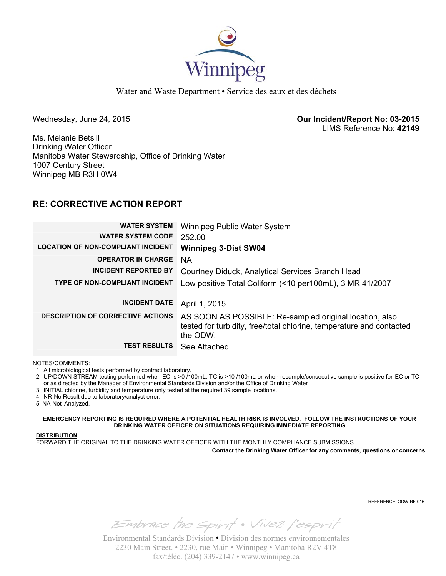

Water and Waste Department • Service des eaux et des déchets

Wednesday, June 24, 2015 **Our Incident/Report No: 03-2015**  LIMS Reference No: **42149**

Ms. Melanie Betsill Drinking Water Officer Manitoba Water Stewardship, Office of Drinking Water 1007 Century Street Winnipeg MB R3H 0W4

# **RE: CORRECTIVE ACTION REPORT**

| <b>WATER SYSTEM</b><br><b>WATER SYSTEM CODE</b> | Winnipeg Public Water System<br>252.00                                                                                                      |
|-------------------------------------------------|---------------------------------------------------------------------------------------------------------------------------------------------|
| <b>LOCATION OF NON-COMPLIANT INCIDENT</b>       | <b>Winnipeg 3-Dist SW04</b>                                                                                                                 |
| <b>OPERATOR IN CHARGE</b>                       | <b>NA</b>                                                                                                                                   |
| <b>INCIDENT REPORTED BY</b>                     | Courtney Diduck, Analytical Services Branch Head                                                                                            |
| <b>TYPE OF NON-COMPLIANT INCIDENT</b>           | Low positive Total Coliform (<10 per100mL), 3 MR 41/2007                                                                                    |
|                                                 |                                                                                                                                             |
| <b>INCIDENT DATE</b>                            | April 1, 2015                                                                                                                               |
| <b>DESCRIPTION OF CORRECTIVE ACTIONS</b>        | AS SOON AS POSSIBLE: Re-sampled original location, also<br>tested for turbidity, free/total chlorine, temperature and contacted<br>the ODW. |
| <b>TEST RESULTS</b>                             | See Attached                                                                                                                                |

NOTES/COMMENTS:

1. All microbiological tests performed by contract laboratory.

2. UP/DOWN STREAM testing performed when EC is >0 /100mL, TC is >10 /100mL or when resample/consecutive sample is positive for EC or TC or as directed by the Manager of Environmental Standards Division and/or the Office of Drinking Water

3. INITIAL chlorine, turbidity and temperature only tested at the required 39 sample locations.

4. NR-No Result due to laboratory/analyst error.

5. NA-Not Analyzed.

**EMERGENCY REPORTING IS REQUIRED WHERE A POTENTIAL HEALTH RISK IS INVOLVED. FOLLOW THE INSTRUCTIONS OF YOUR DRINKING WATER OFFICER ON SITUATIONS REQUIRING IMMEDIATE REPORTING**

#### **DISTRIBUTION**

FORWARD THE ORIGINAL TO THE DRINKING WATER OFFICER WITH THE MONTHLY COMPLIANCE SUBMISSIONS.

**Contact the Drinking Water Officer for any comments, questions or concerns**

REFERENCE: ODW-RF-016

Embrace the spirit . Vivez l'esprit

Environmental Standards Division • Division des normes environnementales 2230 Main Street. • 2230, rue Main • Winnipeg • Manitoba R2V 4T8 fax/téléc. (204) 339-2147 • www.winnipeg.ca